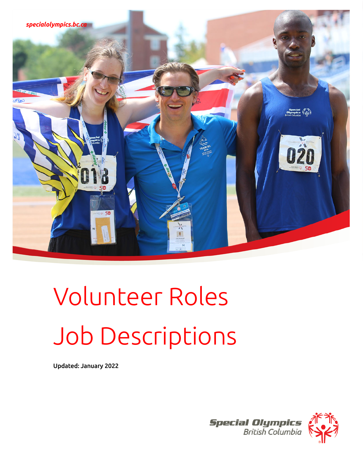

# Volunteer Roles Job Descriptions

Updated: January 2022

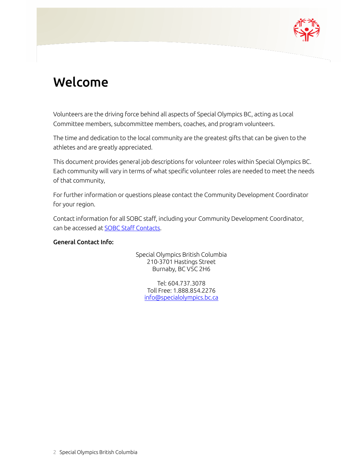

### <span id="page-1-0"></span>Welcome

Volunteers are the driving force behind all aspects of Special Olympics BC, acting as Local Committee members, subcommittee members, coaches, and program volunteers.

The time and dedication to the local community are the greatest gifts that can be given to the athletes and are greatly appreciated.

This document provides general job descriptions for volunteer roles within Special Olympics BC. Each community will vary in terms of what specific volunteer roles are needed to meet the needs of that community,

For further information or questions please contact the Community Development Coordinator for your region.

Contact information for all SOBC staff, including your Community Development Coordinator, can be accessed a[t SOBC Staff Contacts.](https://www.specialolympics.ca/british-columbia/contact-us)

#### General Contact Info:

Special Olympics British Columbia 210-3701 Hastings Street Burnaby, BC V5C 2H6

Tel: 604.737.3078 Toll Free: 1.888.854.2276 [info@specialolympics.bc.ca](mailto:info@specialolympics.bc.ca)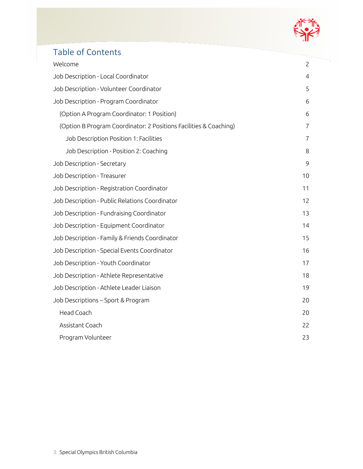

### Table of Contents

| Welcome                                                           | $\overline{c}$ |
|-------------------------------------------------------------------|----------------|
| Job Description - Local Coordinator                               | 4              |
| Job Description - Volunteer Coordinator                           | 5              |
| Job Description - Program Coordinator                             | 6              |
| (Option A Program Coordinator: 1 Position)                        | 6              |
| (Option B Program Coordinator: 2 Positions Facilities & Coaching) | $\overline{7}$ |
| Job Description Position 1: Facilities                            | 7              |
| Job Description - Position 2: Coaching                            | 8              |
| Job Description - Secretary                                       | 9              |
| Job Description - Treasurer                                       | 10             |
| Job Description - Registration Coordinator                        | 11             |
| Job Description - Public Relations Coordinator                    | 12             |
| Job Description - Fundraising Coordinator                         | 13             |
| Job Description - Equipment Coordinator                           | 14             |
| Job Description - Family & Friends Coordinator                    | 15             |
| Job Description - Special Events Coordinator                      | 16             |
| Job Description - Youth Coordinator                               | 17             |
| Job Description - Athlete Representative                          | 18             |
| Job Description - Athlete Leader Liaison                          | 19             |
| Job Descriptions - Sport & Program                                | 20             |
| Head Coach                                                        | 20             |
| Assistant Coach                                                   | 22             |
| Program Volunteer                                                 | 23             |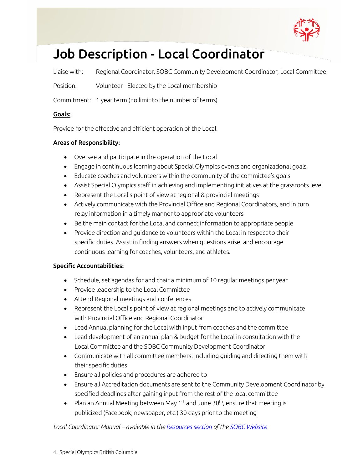

# <span id="page-3-0"></span>Job Description - Local Coordinator

Liaise with: Regional Coordinator, SOBC Community Development Coordinator, Local Committee

Position: Volunteer - Elected by the Local membership

Commitment: 1 year term (no limit to the number of terms)

#### Goals:

Provide for the effective and efficient operation of the Local.

#### Areas of Responsibility:

- Oversee and participate in the operation of the Local
- Engage in continuous learning about Special Olympics events and organizational goals
- Educate coaches and volunteers within the community of the committee's goals
- Assist Special Olympics staff in achieving and implementing initiatives at the grassroots level
- Represent the Local's point of view at regional & provincial meetings
- Actively communicate with the Provincial Office and Regional Coordinators, and in turn relay information in a timely manner to appropriate volunteers
- Be the main contact for the Local and connect information to appropriate people
- Provide direction and guidance to volunteers within the Local in respect to their specific duties. Assist in finding answers when questions arise, and encourage continuous learning for coaches, volunteers, and athletes.

#### Specific Accountabilities:

- Schedule, set agendas for and chair a minimum of 10 regular meetings per year
- Provide leadership to the Local Committee
- Attend Regional meetings and conferences
- Represent the Local's point of view at regional meetings and to actively communicate with Provincial Office and Regional Coordinator
- Lead Annual planning for the Local with input from coaches and the committee
- Lead development of an annual plan & budget for the Local in consultation with the Local Committee and the SOBC Community Development Coordinator
- Communicate with all committee members, including guiding and directing them with their specific duties
- Ensure all policies and procedures are adhered to
- Ensure all Accreditation documents are sent to the Community Development Coordinator by specified deadlines after gaining input from the rest of the local committee
- Plan an Annual Meeting between May 1<sup>st</sup> and June 30<sup>th</sup>, ensure that meeting is publicized (Facebook, newspaper, etc.) 30 days prior to the meeting

#### *Local Coordinator Manual – available in th[e Resources section](https://www.specialolympics.ca/british-columbia/resources) of the [SOBC Website](https://www.specialolympics.ca/british-columbia)*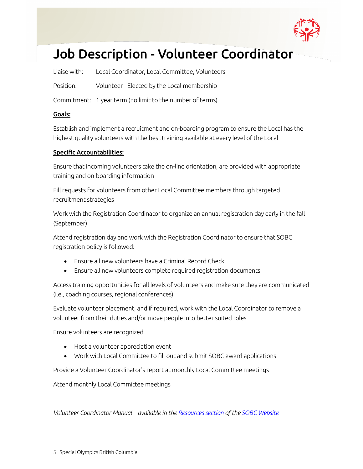

# <span id="page-4-0"></span>Job Description - Volunteer Coordinator

Liaise with: Local Coordinator, Local Committee, Volunteers

Position: Volunteer - Elected by the Local membership

Commitment: 1 year term (no limit to the number of terms)

#### Goals:

Establish and implement a recruitment and on-boarding program to ensure the Local has the highest quality volunteers with the best training available at every level of the Local

#### Specific Accountabilities:

Ensure that incoming volunteers take the on-line orientation, are provided with appropriate training and on-boarding information

Fill requests for volunteers from other Local Committee members through targeted recruitment strategies

Work with the Registration Coordinator to organize an annual registration day early in the fall (September)

Attend registration day and work with the Registration Coordinator to ensure that SOBC registration policy is followed:

- Ensure all new volunteers have a Criminal Record Check
- Ensure all new volunteers complete required registration documents

Access training opportunities for all levels of volunteers and make sure they are communicated (i.e., coaching courses, regional conferences)

Evaluate volunteer placement, and if required, work with the Local Coordinator to remove a volunteer from their duties and/or move people into better suited roles

Ensure volunteers are recognized

- Host a volunteer appreciation event
- Work with Local Committee to fill out and submit SOBC award applications

Provide a Volunteer Coordinator's report at monthly Local Committee meetings

Attend monthly Local Committee meetings

*Volunteer Coordinator Manual – available in th[e Resources section](https://www.specialolympics.ca/british-columbia/resources) of the [SOBC Website](https://www.specialolympics.ca/british-columbia)*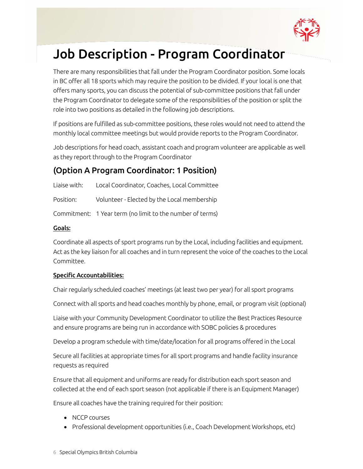

## <span id="page-5-0"></span>Job Description - Program Coordinator

There are many responsibilities that fall under the Program Coordinator position. Some locals in BC offer all 18 sports which may require the position to be divided. If your local is one that offers many sports, you can discuss the potential of sub-committee positions that fall under the Program Coordinator to delegate some of the responsibilities of the position or split the role into two positions as detailed in the following job descriptions.

If positions are fulfilled as sub-committee positions, these roles would not need to attend the monthly local committee meetings but would provide reports to the Program Coordinator.

Job descriptions for head coach, assistant coach and program volunteer are applicable as well as they report through to the Program Coordinator

### <span id="page-5-1"></span>(Option A Program Coordinator: 1 Position)

Liaise with: Local Coordinator, Coaches, Local Committee

Position: Volunteer - Elected by the Local membership

Commitment: 1 Year term (no limit to the number of terms)

#### Goals:

Coordinate all aspects of sport programs run by the Local, including facilities and equipment. Act as the key liaison for all coaches and in turn represent the voice of the coaches to the Local Committee.

#### Specific Accountabilities:

Chair regularly scheduled coaches' meetings (at least two per year) for all sport programs

Connect with all sports and head coaches monthly by phone, email, or program visit (optional)

Liaise with your Community Development Coordinator to utilize the Best Practices Resource and ensure programs are being run in accordance with SOBC policies & procedures

Develop a program schedule with time/date/location for all programs offered in the Local

Secure all facilities at appropriate times for all sport programs and handle facility insurance requests as required

Ensure that all equipment and uniforms are ready for distribution each sport season and collected at the end of each sport season (not applicable if there is an Equipment Manager)

Ensure all coaches have the training required for their position:

- NCCP courses
- Professional development opportunities (i.e., Coach Development Workshops, etc)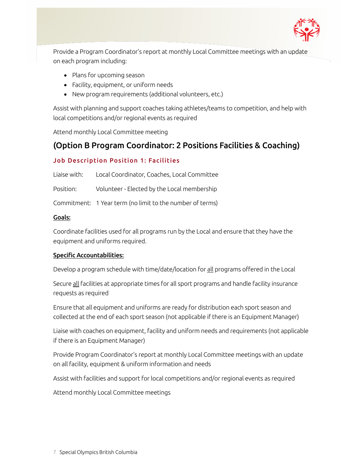

Provide a Program Coordinator's report at monthly Local Committee meetings with an update on each program including:

- Plans for upcoming season
- Facility, equipment, or uniform needs
- New program requirements (additional volunteers, etc.)

Assist with planning and support coaches taking athletes/teams to competition, and help with local competitions and/or regional events as required

Attend monthly Local Committee meeting

### <span id="page-6-0"></span>(Option B Program Coordinator: 2 Positions Facilities & Coaching)

#### <span id="page-6-1"></span>Job Description Position 1: Facilities

Liaise with: Local Coordinator, Coaches, Local Committee Position: Volunteer - Elected by the Local membership

Commitment: 1 Year term (no limit to the number of terms)

#### Goals:

Coordinate facilities used for all programs run by the Local and ensure that they have the equipment and uniforms required.

#### Specific Accountabilities:

Develop a program schedule with time/date/location for all programs offered in the Local

Secure all facilities at appropriate times for all sport programs and handle facility insurance requests as required

Ensure that all equipment and uniforms are ready for distribution each sport season and collected at the end of each sport season (not applicable if there is an Equipment Manager)

Liaise with coaches on equipment, facility and uniform needs and requirements (not applicable if there is an Equipment Manager)

Provide Program Coordinator's report at monthly Local Committee meetings with an update on all facility, equipment & uniform information and needs

Assist with facilities and support for local competitions and/or regional events as required

Attend monthly Local Committee meetings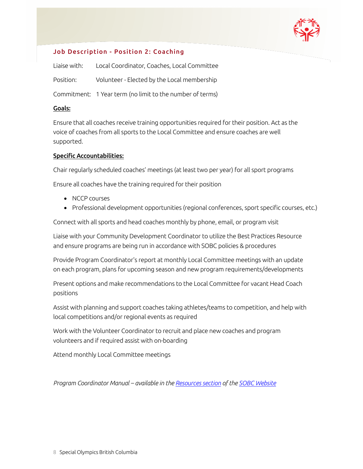

#### <span id="page-7-0"></span>Job Description - Position 2: Coaching

| Liaise with: | Local Coordinator, Coaches, Local Committee               |
|--------------|-----------------------------------------------------------|
| Position:    | Volunteer - Elected by the Local membership               |
|              | Commitment: 1 Year term (no limit to the number of terms) |

#### Goals:

Ensure that all coaches receive training opportunities required for their position. Act as the voice of coaches from all sports to the Local Committee and ensure coaches are well supported.

#### Specific Accountabilities:

Chair regularly scheduled coaches' meetings (at least two per year) for all sport programs

Ensure all coaches have the training required for their position

- NCCP courses
- Professional development opportunities (regional conferences, sport specific courses, etc.)

Connect with all sports and head coaches monthly by phone, email, or program visit

Liaise with your Community Development Coordinator to utilize the Best Practices Resource and ensure programs are being run in accordance with SOBC policies & procedures

Provide Program Coordinator's report at monthly Local Committee meetings with an update on each program, plans for upcoming season and new program requirements/developments

Present options and make recommendations to the Local Committee for vacant Head Coach positions

Assist with planning and support coaches taking athletes/teams to competition, and help with local competitions and/or regional events as required

Work with the Volunteer Coordinator to recruit and place new coaches and program volunteers and if required assist with on-boarding

Attend monthly Local Committee meetings

*Program Coordinator Manual – available in the [Resources section](https://www.specialolympics.ca/british-columbia/resources) of th[e SOBC Website](https://www.specialolympics.ca/british-columbia)*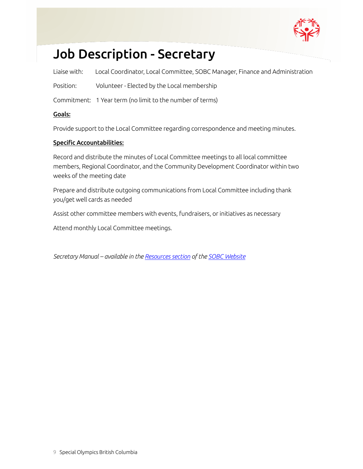

## <span id="page-8-0"></span>Job Description - Secretary

Liaise with: Local Coordinator, Local Committee, SOBC Manager, Finance and Administration

Position: Volunteer - Elected by the Local membership

Commitment: 1 Year term (no limit to the number of terms)

#### Goals:

Provide support to the Local Committee regarding correspondence and meeting minutes.

#### Specific Accountabilities:

Record and distribute the minutes of Local Committee meetings to all local committee members, Regional Coordinator, and the Community Development Coordinator within two weeks of the meeting date

Prepare and distribute outgoing communications from Local Committee including thank you/get well cards as needed

Assist other committee members with events, fundraisers, or initiatives as necessary

Attend monthly Local Committee meetings.

*Secretary Manual – available in th[e Resources section](https://www.specialolympics.ca/british-columbia/resources) of th[e SOBC Website](https://www.specialolympics.ca/british-columbia)*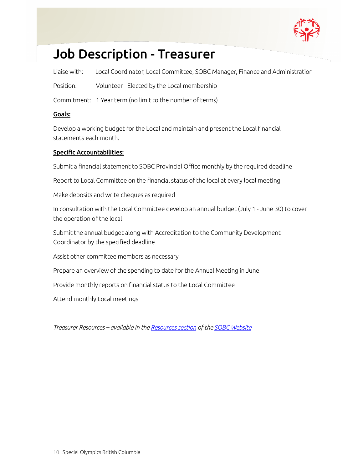

### <span id="page-9-0"></span>Job Description - Treasurer

Liaise with: Local Coordinator, Local Committee, SOBC Manager, Finance and Administration

Position: Volunteer - Elected by the Local membership

Commitment: 1 Year term (no limit to the number of terms)

#### Goals:

Develop a working budget for the Local and maintain and present the Local financial statements each month.

#### Specific Accountabilities:

Submit a financial statement to SOBC Provincial Office monthly by the required deadline

Report to Local Committee on the financial status of the local at every local meeting

Make deposits and write cheques as required

In consultation with the Local Committee develop an annual budget (July 1 - June 30) to cover the operation of the local

Submit the annual budget along with Accreditation to the Community Development Coordinator by the specified deadline

Assist other committee members as necessary

Prepare an overview of the spending to date for the Annual Meeting in June

Provide monthly reports on financial status to the Local Committee

Attend monthly Local meetings

*Treasurer Resources – available in th[e Resources section](https://www.specialolympics.ca/british-columbia/resources) of th[e SOBC Website](https://www.specialolympics.ca/british-columbia)*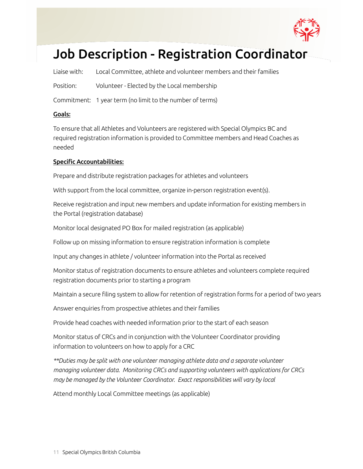

## <span id="page-10-0"></span>Job Description - Registration Coordinator

Liaise with: Local Committee, athlete and volunteer members and their families

Position: Volunteer - Elected by the Local membership

Commitment: 1 year term (no limit to the number of terms)

#### Goals:

To ensure that all Athletes and Volunteers are registered with Special Olympics BC and required registration information is provided to Committee members and Head Coaches as needed

#### Specific Accountabilities:

Prepare and distribute registration packages for athletes and volunteers

With support from the local committee, organize in-person registration event(s).

Receive registration and input new members and update information for existing members in the Portal (registration database)

Monitor local designated PO Box for mailed registration (as applicable)

Follow up on missing information to ensure registration information is complete

Input any changes in athlete / volunteer information into the Portal as received

Monitor status of registration documents to ensure athletes and volunteers complete required registration documents prior to starting a program

Maintain a secure filing system to allow for retention of registration forms for a period of two years

Answer enquiries from prospective athletes and their families

Provide head coaches with needed information prior to the start of each season

Monitor status of CRCs and in conjunction with the Volunteer Coordinator providing information to volunteers on how to apply for a CRC

*\*\*Duties may be split with one volunteer managing athlete data and a separate volunteer managing volunteer data. Monitoring CRCs and supporting volunteers with applications for CRCs may be managed by the Volunteer Coordinator. Exact responsibilities will vary by local*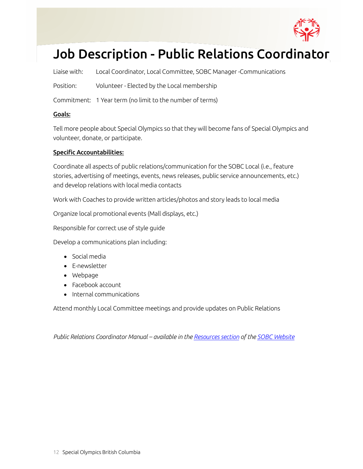

## <span id="page-11-0"></span>Job Description - Public Relations Coordinator

Liaise with: Local Coordinator, Local Committee, SOBC Manager -Communications

Position: Volunteer - Elected by the Local membership

Commitment: 1 Year term (no limit to the number of terms)

#### Goals:

Tell more people about Special Olympics so that they will become fans of Special Olympics and volunteer, donate, or participate.

#### Specific Accountabilities:

Coordinate all aspects of public relations/communication for the SOBC Local (i.e., feature stories, advertising of meetings, events, news releases, public service announcements, etc.) and develop relations with local media contacts

Work with Coaches to provide written articles/photos and story leads to local media

Organize local promotional events (Mall displays, etc.)

Responsible for correct use of style guide

Develop a communications plan including:

- Social media
- E-newsletter
- Webpage
- Facebook account
- Internal communications

Attend monthly Local Committee meetings and provide updates on Public Relations

*Public Relations Coordinator Manual – available in the [Resources section](https://www.specialolympics.ca/british-columbia/resources) of the [SOBC Website](https://www.specialolympics.ca/british-columbia)*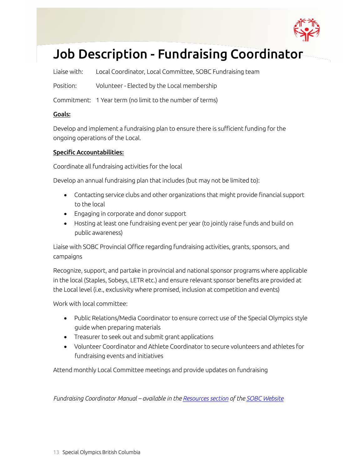

## <span id="page-12-0"></span>Job Description - Fundraising Coordinator

Liaise with: Local Coordinator, Local Committee, SOBC Fundraising team

Position: Volunteer - Elected by the Local membership

Commitment: 1 Year term (no limit to the number of terms)

#### Goals:

Develop and implement a fundraising plan to ensure there is sufficient funding for the ongoing operations of the Local.

#### Specific Accountabilities:

Coordinate all fundraising activities for the local

Develop an annual fundraising plan that includes (but may not be limited to):

- Contacting service clubs and other organizations that might provide financial support to the local
- Engaging in corporate and donor support
- Hosting at least one fundraising event per year (to jointly raise funds and build on public awareness)

Liaise with SOBC Provincial Office regarding fundraising activities, grants, sponsors, and campaigns

Recognize, support, and partake in provincial and national sponsor programs where applicable in the local (Staples, Sobeys, LETR etc.) and ensure relevant sponsor benefits are provided at the Local level (i.e., exclusivity where promised, inclusion at competition and events)

Work with local committee:

- Public Relations/Media Coordinator to ensure correct use of the Special Olympics style guide when preparing materials
- Treasurer to seek out and submit grant applications
- Volunteer Coordinator and Athlete Coordinator to secure volunteers and athletes for fundraising events and initiatives

Attend monthly Local Committee meetings and provide updates on fundraising

*Fundraising Coordinator Manual – available in the [Resources section](https://www.specialolympics.ca/british-columbia/resources) of the [SOBC Website](https://www.specialolympics.ca/british-columbia)*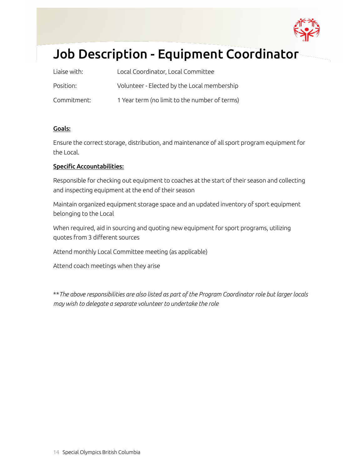

# <span id="page-13-0"></span>Job Description - Equipment Coordinator

| Liaise with: | Local Coordinator, Local Committee            |
|--------------|-----------------------------------------------|
| Position:    | Volunteer - Elected by the Local membership   |
| Commitment:  | 1 Year term (no limit to the number of terms) |

#### Goals:

Ensure the correct storage, distribution, and maintenance of all sport program equipment for the Local.

#### Specific Accountabilities:

Responsible for checking out equipment to coaches at the start of their season and collecting and inspecting equipment at the end of their season

Maintain organized equipment storage space and an updated inventory of sport equipment belonging to the Local

When required, aid in sourcing and quoting new equipment for sport programs, utilizing quotes from 3 different sources

Attend monthly Local Committee meeting (as applicable)

Attend coach meetings when they arise

\*\**The above responsibilities are also listed as part of the Program Coordinator role but larger locals may wish to delegate a separate volunteer to undertake the role*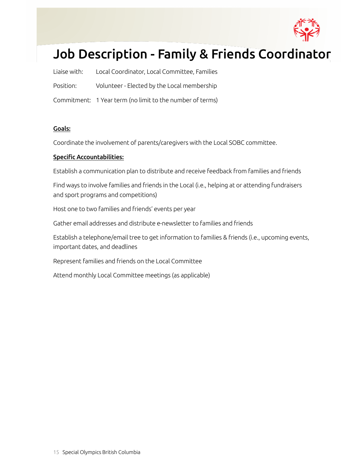

# <span id="page-14-0"></span>Job Description - Family & Friends Coordinator

| Liaise with: | Local Coordinator, Local Committee, Families              |
|--------------|-----------------------------------------------------------|
| Position:    | Volunteer - Elected by the Local membership               |
|              | Commitment: 1 Year term (no limit to the number of terms) |

#### Goals:

Coordinate the involvement of parents/caregivers with the Local SOBC committee.

#### Specific Accountabilities:

Establish a communication plan to distribute and receive feedback from families and friends

Find ways to involve families and friends in the Local (i.e., helping at or attending fundraisers and sport programs and competitions)

Host one to two families and friends' events per year

Gather email addresses and distribute e-newsletter to families and friends

Establish a telephone/email tree to get information to families & friends (i.e., upcoming events, important dates, and deadlines

Represent families and friends on the Local Committee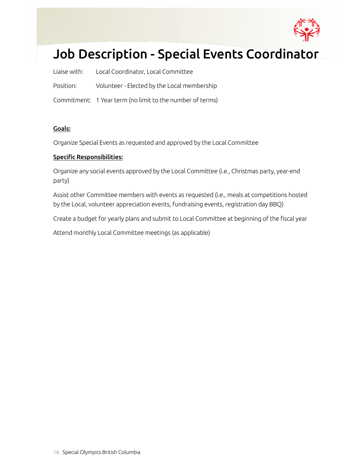

# <span id="page-15-0"></span>Job Description - Special Events Coordinator

|           | Liaise with: Local Coordinator, Local Committee           |
|-----------|-----------------------------------------------------------|
| Position: | Volunteer - Elected by the Local membership               |
|           | Commitment: 1 Year term (no limit to the number of terms) |

#### Goals:

Organize Special Events as requested and approved by the Local Committee

#### Specific Responsibilities:

Organize any social events approved by the Local Committee (i.e., Christmas party, year-end party)

Assist other Committee members with events as requested (i.e., meals at competitions hosted by the Local, volunteer appreciation events, fundraising events, registration day BBQ)

Create a budget for yearly plans and submit to Local Committee at beginning of the fiscal year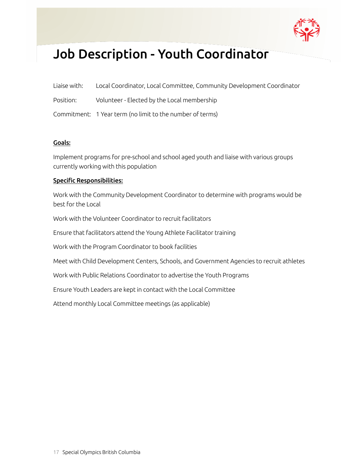

## <span id="page-16-0"></span>Job Description - Youth Coordinator

| Liaise with: | Local Coordinator, Local Committee, Community Development Coordinator |
|--------------|-----------------------------------------------------------------------|
|--------------|-----------------------------------------------------------------------|

Position: Volunteer - Elected by the Local membership

Commitment: 1 Year term (no limit to the number of terms)

#### Goals:

Implement programs for pre-school and school aged youth and liaise with various groups currently working with this population

#### Specific Responsibilities:

Work with the Community Development Coordinator to determine with programs would be best for the Local

Work with the Volunteer Coordinator to recruit facilitators

Ensure that facilitators attend the Young Athlete Facilitator training

Work with the Program Coordinator to book facilities

Meet with Child Development Centers, Schools, and Government Agencies to recruit athletes

Work with Public Relations Coordinator to advertise the Youth Programs

Ensure Youth Leaders are kept in contact with the Local Committee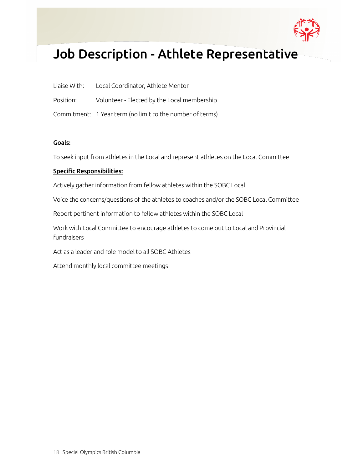

### <span id="page-17-0"></span>Job Description - Athlete Representative

| Liaise With: | Local Coordinator, Athlete Mentor                         |
|--------------|-----------------------------------------------------------|
| Position:    | Volunteer - Elected by the Local membership               |
|              | Commitment: 1 Year term (no limit to the number of terms) |

#### Goals:

To seek input from athletes in the Local and represent athletes on the Local Committee

#### Specific Responsibilities:

Actively gather information from fellow athletes within the SOBC Local.

Voice the concerns/questions of the athletes to coaches and/or the SOBC Local Committee

Report pertinent information to fellow athletes within the SOBC Local

Work with Local Committee to encourage athletes to come out to Local and Provincial fundraisers

Act as a leader and role model to all SOBC Athletes

Attend monthly local committee meetings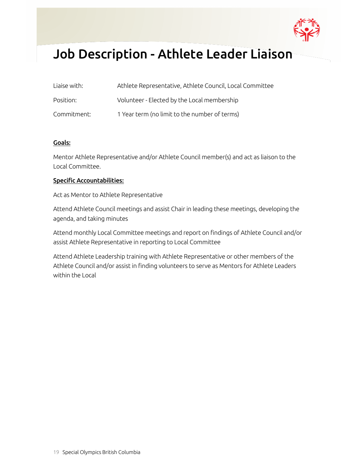

### <span id="page-18-0"></span>Job Description - Athlete Leader Liaison

| Liaise with: | Athlete Representative, Athlete Council, Local Committee |
|--------------|----------------------------------------------------------|
| Position:    | Volunteer - Elected by the Local membership              |
| Commitment:  | 1 Year term (no limit to the number of terms)            |

#### Goals:

Mentor Athlete Representative and/or Athlete Council member(s) and act as liaison to the Local Committee.

#### Specific Accountabilities:

Act as Mentor to Athlete Representative

Attend Athlete Council meetings and assist Chair in leading these meetings, developing the agenda, and taking minutes

Attend monthly Local Committee meetings and report on findings of Athlete Council and/or assist Athlete Representative in reporting to Local Committee

Attend Athlete Leadership training with Athlete Representative or other members of the Athlete Council and/or assist in finding volunteers to serve as Mentors for Athlete Leaders within the Local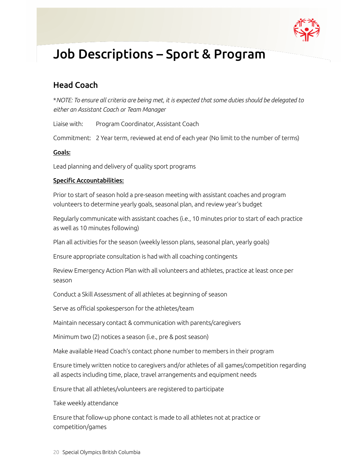

### <span id="page-19-0"></span>Job Descriptions – Sport & Program

### <span id="page-19-1"></span>Head Coach

\**NOTE: To ensure all criteria are being met, it is expected that some duties should be delegated to either an Assistant Coach or Team Manager*

Liaise with: Program Coordinator, Assistant Coach

Commitment: 2 Year term, reviewed at end of each year (No limit to the number of terms)

#### Goals:

Lead planning and delivery of quality sport programs

#### Specific Accountabilities:

Prior to start of season hold a pre-season meeting with assistant coaches and program volunteers to determine yearly goals, seasonal plan, and review year's budget

Regularly communicate with assistant coaches (i.e., 10 minutes prior to start of each practice as well as 10 minutes following)

Plan all activities for the season (weekly lesson plans, seasonal plan, yearly goals)

Ensure appropriate consultation is had with all coaching contingents

Review Emergency Action Plan with all volunteers and athletes, practice at least once per season

Conduct a Skill Assessment of all athletes at beginning of season

Serve as official spokesperson for the athletes/team

Maintain necessary contact & communication with parents/caregivers

Minimum two (2) notices a season (i.e., pre & post season)

Make available Head Coach's contact phone number to members in their program

Ensure timely written notice to caregivers and/or athletes of all games/competition regarding all aspects including time, place, travel arrangements and equipment needs

Ensure that all athletes/volunteers are registered to participate

Take weekly attendance

Ensure that follow-up phone contact is made to all athletes not at practice or competition/games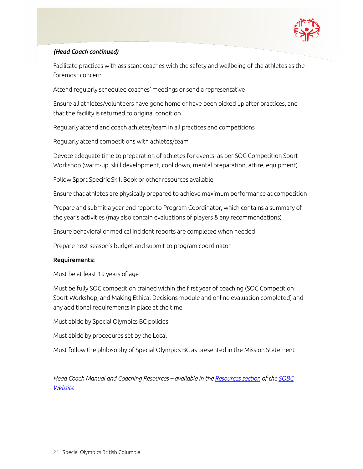

#### *(Head Coach continued)*

Facilitate practices with assistant coaches with the safety and wellbeing of the athletes as the foremost concern

Attend regularly scheduled coaches' meetings or send a representative

Ensure all athletes/volunteers have gone home or have been picked up after practices, and that the facility is returned to original condition

Regularly attend and coach athletes/team in all practices and competitions

Regularly attend competitions with athletes/team

Devote adequate time to preparation of athletes for events, as per SOC Competition Sport Workshop (warm-up, skill development, cool down, mental preparation, attire, equipment)

Follow Sport Specific Skill Book or other resources available

Ensure that athletes are physically prepared to achieve maximum performance at competition

Prepare and submit a year-end report to Program Coordinator, which contains a summary of the year's activities (may also contain evaluations of players & any recommendations)

Ensure behavioral or medical incident reports are completed when needed

Prepare next season's budget and submit to program coordinator

#### Requirements:

Must be at least 19 years of age

Must be fully SOC competition trained within the first year of coaching (SOC Competition Sport Workshop, and Making Ethical Decisions module and online evaluation completed) and any additional requirements in place at the time

Must abide by Special Olympics BC policies

Must abide by procedures set by the Local

Must follow the philosophy of Special Olympics BC as presented in the Mission Statement

*Head Coach Manual and Coaching Resources – available in th[e Resources section](https://www.specialolympics.ca/british-columbia/resources) of the [SOBC](https://www.specialolympics.ca/british-columbia)  [Website](https://www.specialolympics.ca/british-columbia)*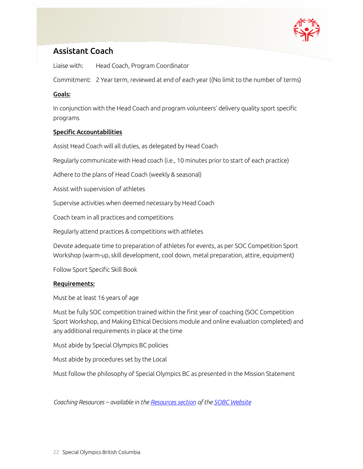

### <span id="page-21-0"></span>Assistant Coach

Liaise with: Head Coach, Program Coordinator

Commitment: 2 Year term, reviewed at end of each year ((No limit to the number of terms)

#### Goals:

In conjunction with the Head Coach and program volunteers' delivery quality sport specific programs

#### Specific Accountabilities

Assist Head Coach will all duties, as delegated by Head Coach

Regularly communicate with Head coach (i.e., 10 minutes prior to start of each practice)

Adhere to the plans of Head Coach (weekly & seasonal)

Assist with supervision of athletes

Supervise activities when deemed necessary by Head Coach

Coach team in all practices and competitions

Regularly attend practices & competitions with athletes

Devote adequate time to preparation of athletes for events, as per SOC Competition Sport Workshop (warm-up, skill development, cool down, metal preparation, attire, equipment)

Follow Sport Specific Skill Book

#### Requirements:

Must be at least 16 years of age

Must be fully SOC competition trained within the first year of coaching (SOC Competition Sport Workshop, and Making Ethical Decisions module and online evaluation completed) and any additional requirements in place at the time

Must abide by Special Olympics BC policies

Must abide by procedures set by the Local

Must follow the philosophy of Special Olympics BC as presented in the Mission Statement

*Coaching Resources – available in the [Resources section](https://www.specialolympics.ca/british-columbia/resources) of the [SOBC Website](https://www.specialolympics.ca/british-columbia)*